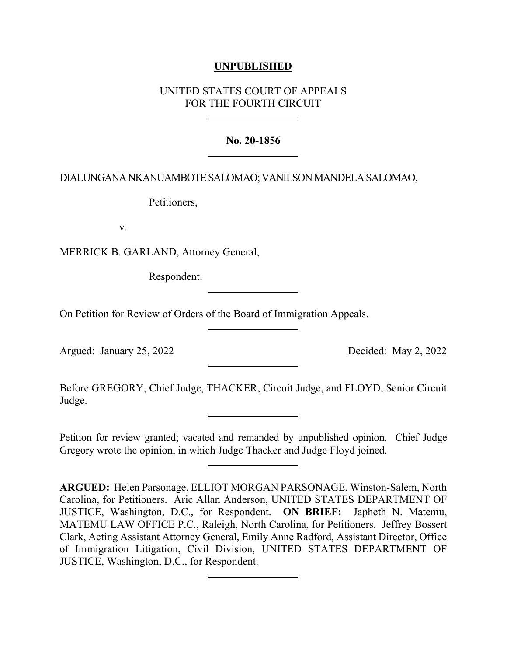## **UNPUBLISHED**

# UNITED STATES COURT OF APPEALS FOR THE FOURTH CIRCUIT

### **No. 20-1856**

### DIALUNGANA NKANUAMBOTE SALOMAO;VANILSON MANDELA SALOMAO,

Petitioners,

v.

MERRICK B. GARLAND, Attorney General,

Respondent.

On Petition for Review of Orders of the Board of Immigration Appeals.

Argued: January 25, 2022 Decided: May 2, 2022

Before GREGORY, Chief Judge, THACKER, Circuit Judge, and FLOYD, Senior Circuit Judge.

Petition for review granted; vacated and remanded by unpublished opinion. Chief Judge Gregory wrote the opinion, in which Judge Thacker and Judge Floyd joined.

**ARGUED:** Helen Parsonage, ELLIOT MORGAN PARSONAGE, Winston-Salem, North Carolina, for Petitioners. Aric Allan Anderson, UNITED STATES DEPARTMENT OF JUSTICE, Washington, D.C., for Respondent. **ON BRIEF:** Japheth N. Matemu, MATEMU LAW OFFICE P.C., Raleigh, North Carolina, for Petitioners. Jeffrey Bossert Clark, Acting Assistant Attorney General, Emily Anne Radford, Assistant Director, Office of Immigration Litigation, Civil Division, UNITED STATES DEPARTMENT OF JUSTICE, Washington, D.C., for Respondent.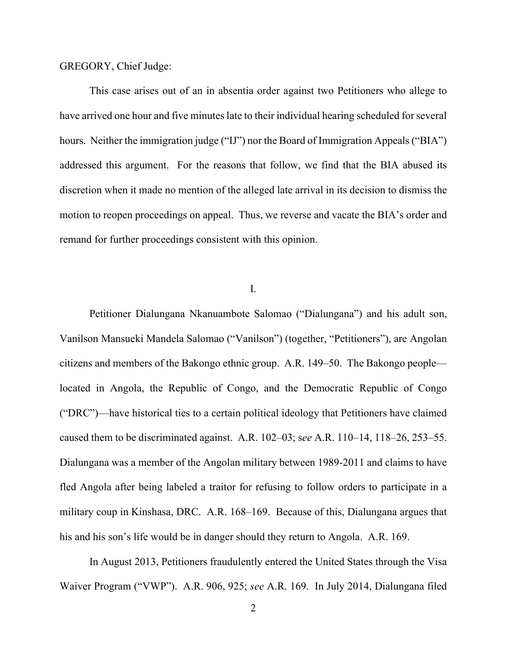GREGORY, Chief Judge:

This case arises out of an in absentia order against two Petitioners who allege to have arrived one hour and five minutes late to their individual hearing scheduled for several hours. Neither the immigration judge ("IJ") nor the Board of Immigration Appeals ("BIA") addressed this argument. For the reasons that follow, we find that the BIA abused its discretion when it made no mention of the alleged late arrival in its decision to dismiss the motion to reopen proceedings on appeal. Thus, we reverse and vacate the BIA's order and remand for further proceedings consistent with this opinion.

I.

Petitioner Dialungana Nkanuambote Salomao ("Dialungana") and his adult son, Vanilson Mansueki Mandela Salomao ("Vanilson") (together, "Petitioners"), are Angolan citizens and members of the Bakongo ethnic group. A.R. 149–50. The Bakongo people located in Angola, the Republic of Congo, and the Democratic Republic of Congo ("DRC")—have historical ties to a certain political ideology that Petitioners have claimed caused them to be discriminated against. A.R. 102–03; s*ee* A.R. 110–14, 118–26, 253–55. Dialungana was a member of the Angolan military between 1989-2011 and claims to have fled Angola after being labeled a traitor for refusing to follow orders to participate in a military coup in Kinshasa, DRC. A.R. 168–169. Because of this, Dialungana argues that his and his son's life would be in danger should they return to Angola. A.R. 169.

In August 2013, Petitioners fraudulently entered the United States through the Visa Waiver Program ("VWP"). A.R. 906, 925; *see* A.R. 169. In July 2014, Dialungana filed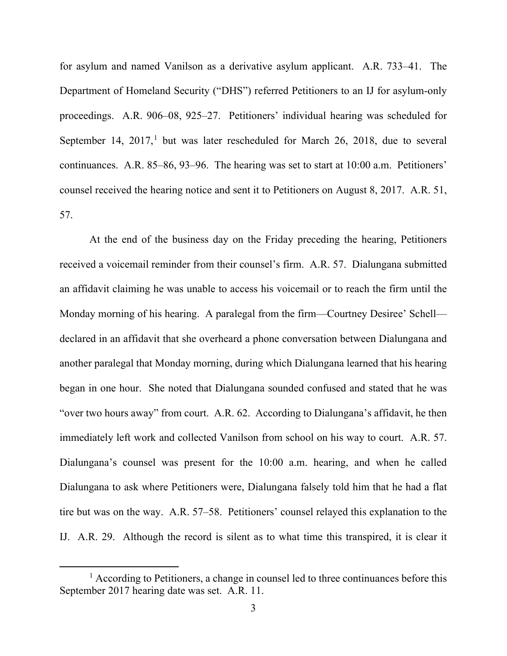for asylum and named Vanilson as a derivative asylum applicant. A.R. 733–41. The Department of Homeland Security ("DHS") referred Petitioners to an IJ for asylum-only proceedings. A.R. 906–08, 925–27. Petitioners' individual hearing was scheduled for September [1](#page-2-0)4,  $2017<sup>1</sup>$  but was later rescheduled for March 26, 2018, due to several continuances. A.R. 85–86, 93–96. The hearing was set to start at 10:00 a.m. Petitioners' counsel received the hearing notice and sent it to Petitioners on August 8, 2017. A.R. 51, 57.

At the end of the business day on the Friday preceding the hearing, Petitioners received a voicemail reminder from their counsel's firm. A.R. 57. Dialungana submitted an affidavit claiming he was unable to access his voicemail or to reach the firm until the Monday morning of his hearing. A paralegal from the firm—Courtney Desiree' Schell declared in an affidavit that she overheard a phone conversation between Dialungana and another paralegal that Monday morning, during which Dialungana learned that his hearing began in one hour. She noted that Dialungana sounded confused and stated that he was "over two hours away" from court. A.R. 62. According to Dialungana's affidavit, he then immediately left work and collected Vanilson from school on his way to court. A.R. 57. Dialungana's counsel was present for the 10:00 a.m. hearing, and when he called Dialungana to ask where Petitioners were, Dialungana falsely told him that he had a flat tire but was on the way. A.R. 57–58. Petitioners' counsel relayed this explanation to the IJ. A.R. 29. Although the record is silent as to what time this transpired, it is clear it

<span id="page-2-0"></span><sup>&</sup>lt;sup>1</sup> According to Petitioners, a change in counsel led to three continuances before this September 2017 hearing date was set. A.R. 11.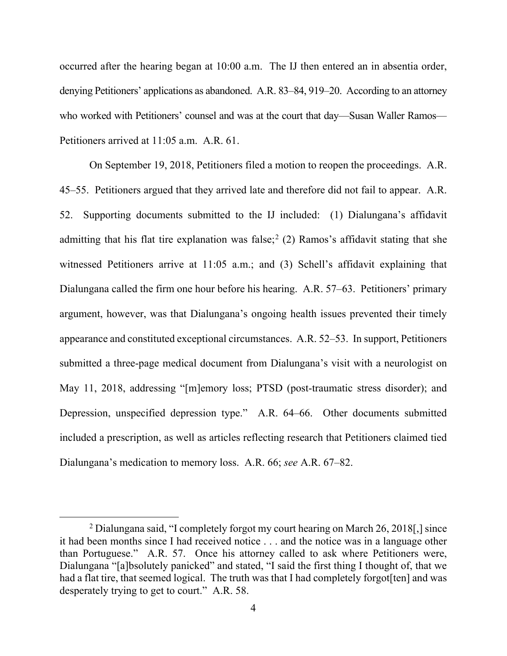occurred after the hearing began at 10:00 a.m. The IJ then entered an in absentia order, denying Petitioners' applications as abandoned. A.R. 83–84, 919–20. According to an attorney who worked with Petitioners' counsel and was at the court that day—Susan Waller Ramos— Petitioners arrived at 11:05 a.m. A.R. 61.

On September 19, 2018, Petitioners filed a motion to reopen the proceedings. A.R. 45–55. Petitioners argued that they arrived late and therefore did not fail to appear. A.R. 52. Supporting documents submitted to the IJ included: (1) Dialungana's affidavit admitting that his flat tire explanation was false;<sup>[2](#page-3-0)</sup> (2) Ramos's affidavit stating that she witnessed Petitioners arrive at 11:05 a.m.; and (3) Schell's affidavit explaining that Dialungana called the firm one hour before his hearing. A.R. 57–63. Petitioners' primary argument, however, was that Dialungana's ongoing health issues prevented their timely appearance and constituted exceptional circumstances. A.R. 52–53. In support, Petitioners submitted a three-page medical document from Dialungana's visit with a neurologist on May 11, 2018, addressing "[m]emory loss; PTSD (post-traumatic stress disorder); and Depression, unspecified depression type." A.R. 64–66. Other documents submitted included a prescription, as well as articles reflecting research that Petitioners claimed tied Dialungana's medication to memory loss. A.R. 66; *see* A.R. 67–82.

<span id="page-3-0"></span><sup>2</sup> Dialungana said, "I completely forgot my court hearing on March 26, 2018[,] since it had been months since I had received notice . . . and the notice was in a language other than Portuguese." A.R. 57. Once his attorney called to ask where Petitioners were, Dialungana "[a]bsolutely panicked" and stated, "I said the first thing I thought of, that we had a flat tire, that seemed logical. The truth was that I had completely forgot [ten] and was desperately trying to get to court." A.R. 58.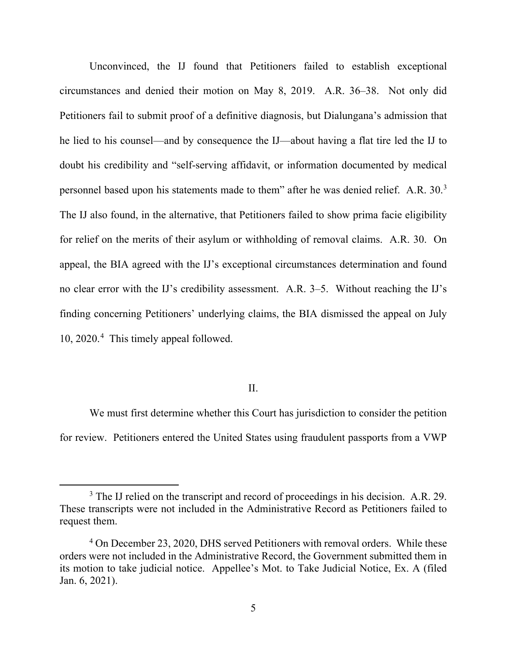Unconvinced, the IJ found that Petitioners failed to establish exceptional circumstances and denied their motion on May 8, 2019. A.R. 36–38. Not only did Petitioners fail to submit proof of a definitive diagnosis, but Dialungana's admission that he lied to his counsel—and by consequence the IJ—about having a flat tire led the IJ to doubt his credibility and "self-serving affidavit, or information documented by medical personnel based upon his statements made to them" after he was denied relief. A.R. [3](#page-4-0)0.<sup>3</sup> The IJ also found, in the alternative, that Petitioners failed to show prima facie eligibility for relief on the merits of their asylum or withholding of removal claims. A.R. 30. On appeal, the BIA agreed with the IJ's exceptional circumstances determination and found no clear error with the IJ's credibility assessment. A.R. 3–5. Without reaching the IJ's finding concerning Petitioners' underlying claims, the BIA dismissed the appeal on July 10, 2020.[4](#page-4-1) This timely appeal followed.

### II.

We must first determine whether this Court has jurisdiction to consider the petition for review. Petitioners entered the United States using fraudulent passports from a VWP

<span id="page-4-0"></span><sup>&</sup>lt;sup>3</sup> The IJ relied on the transcript and record of proceedings in his decision. A.R. 29. These transcripts were not included in the Administrative Record as Petitioners failed to request them.

<span id="page-4-1"></span><sup>&</sup>lt;sup>4</sup> On December 23, 2020, DHS served Petitioners with removal orders. While these orders were not included in the Administrative Record, the Government submitted them in its motion to take judicial notice. Appellee's Mot. to Take Judicial Notice, Ex. A (filed Jan. 6, 2021).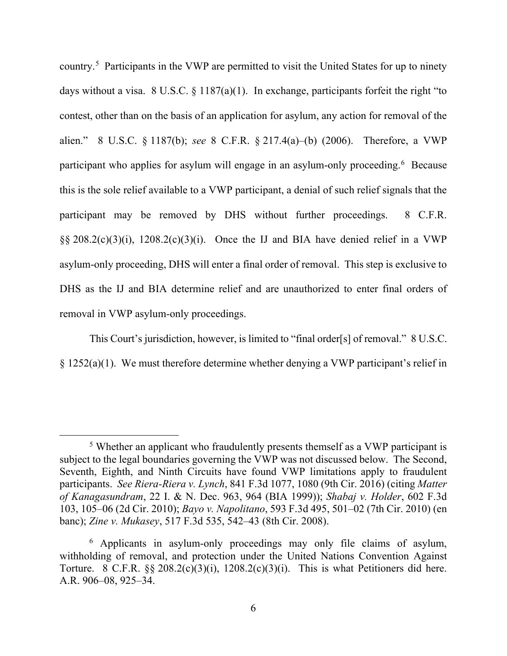country.<sup>[5](#page-5-0)</sup> Participants in the VWP are permitted to visit the United States for up to ninety days without a visa. 8 U.S.C.  $\S 1187(a)(1)$ . In exchange, participants forfeit the right "to contest, other than on the basis of an application for asylum, any action for removal of the alien." 8 U.S.C. § 1187(b); *see* 8 C.F.R. § 217.4(a)–(b) (2006). Therefore, a VWP participant who applies for asylum will engage in an asylum-only proceeding.<sup>[6](#page-5-1)</sup> Because this is the sole relief available to a VWP participant, a denial of such relief signals that the participant may be removed by DHS without further proceedings. 8 C.F.R.  $\S$ § 208.2(c)(3)(i), 1208.2(c)(3)(i). Once the IJ and BIA have denied relief in a VWP asylum-only proceeding, DHS will enter a final order of removal. This step is exclusive to DHS as the IJ and BIA determine relief and are unauthorized to enter final orders of removal in VWP asylum-only proceedings.

This Court's jurisdiction, however, is limited to "final order[s] of removal." 8 U.S.C.  $\S 1252(a)(1)$ . We must therefore determine whether denying a VWP participant's relief in

<span id="page-5-0"></span><sup>5</sup> Whether an applicant who fraudulently presents themself as a VWP participant is subject to the legal boundaries governing the VWP was not discussed below. The Second, Seventh, Eighth, and Ninth Circuits have found VWP limitations apply to fraudulent participants. *See Riera-Riera v. Lynch*, 841 F.3d 1077, 1080 (9th Cir. 2016) (citing *Matter of Kanagasundram*, 22 I. & N. Dec. 963, 964 (BIA 1999)); *Shabaj v. Holder*, 602 F.3d 103, 105–06 (2d Cir. 2010); *Bayo v. Napolitano*, 593 F.3d 495, 501–02 (7th Cir. 2010) (en banc); *Zine v. Mukasey*, 517 F.3d 535, 542–43 (8th Cir. 2008).

<span id="page-5-1"></span><sup>6</sup> Applicants in asylum-only proceedings may only file claims of asylum, withholding of removal, and protection under the United Nations Convention Against Torture. 8 C.F.R.  $\S$   $\S$   $208.2(c)(3)(i)$ ,  $1208.2(c)(3)(i)$ . This is what Petitioners did here. A.R. 906–08, 925–34.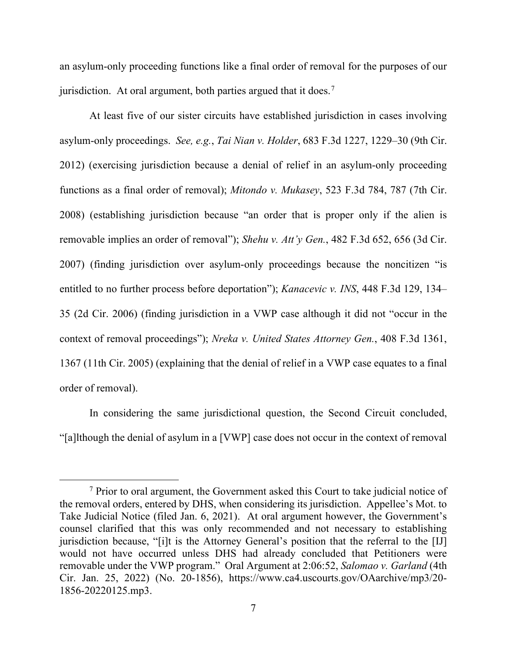an asylum-only proceeding functions like a final order of removal for the purposes of our jurisdiction. At oral argument, both parties argued that it does.<sup>[7](#page-6-0)</sup>

At least five of our sister circuits have established jurisdiction in cases involving asylum-only proceedings. *See, e.g.*, *Tai Nian v. Holder*, 683 F.3d 1227, 1229–30 (9th Cir. 2012) (exercising jurisdiction because a denial of relief in an asylum-only proceeding functions as a final order of removal); *Mitondo v. Mukasey*, 523 F.3d 784, 787 (7th Cir. 2008) (establishing jurisdiction because "an order that is proper only if the alien is removable implies an order of removal"); *Shehu v. Att'y Gen.*, 482 F.3d 652, 656 (3d Cir. 2007) (finding jurisdiction over asylum-only proceedings because the noncitizen "is entitled to no further process before deportation"); *Kanacevic v. INS*, 448 F.3d 129, 134– 35 (2d Cir. 2006) (finding jurisdiction in a VWP case although it did not "occur in the context of removal proceedings"); *Nreka v. United States Attorney Gen.*, 408 F.3d 1361, 1367 (11th Cir. 2005) (explaining that the denial of relief in a VWP case equates to a final order of removal).

In considering the same jurisdictional question, the Second Circuit concluded, "[a]lthough the denial of asylum in a [VWP] case does not occur in the context of removal

<span id="page-6-0"></span> $<sup>7</sup>$  Prior to oral argument, the Government asked this Court to take judicial notice of</sup> the removal orders, entered by DHS, when considering its jurisdiction. Appellee's Mot. to Take Judicial Notice (filed Jan. 6, 2021). At oral argument however, the Government's counsel clarified that this was only recommended and not necessary to establishing jurisdiction because, "[i]t is the Attorney General's position that the referral to the [IJ] would not have occurred unless DHS had already concluded that Petitioners were removable under the VWP program." Oral Argument at 2:06:52, *Salomao v. Garland* (4th Cir. Jan. 25, 2022) (No. 20-1856), https://www.ca4.uscourts.gov/OAarchive/mp3/20- 1856-20220125.mp3.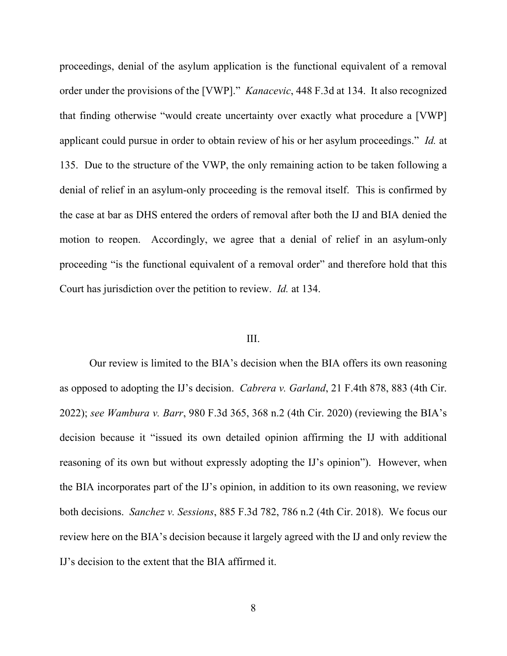proceedings, denial of the asylum application is the functional equivalent of a removal order under the provisions of the [VWP]." *Kanacevic*, 448 F.3d at 134. It also recognized that finding otherwise "would create uncertainty over exactly what procedure a [VWP] applicant could pursue in order to obtain review of his or her asylum proceedings." *Id.* at 135. Due to the structure of the VWP, the only remaining action to be taken following a denial of relief in an asylum-only proceeding is the removal itself. This is confirmed by the case at bar as DHS entered the orders of removal after both the IJ and BIA denied the motion to reopen. Accordingly, we agree that a denial of relief in an asylum-only proceeding "is the functional equivalent of a removal order" and therefore hold that this Court has jurisdiction over the petition to review. *Id.* at 134.

## III.

Our review is limited to the BIA's decision when the BIA offers its own reasoning as opposed to adopting the IJ's decision. *Cabrera v. Garland*, 21 F.4th 878, 883 (4th Cir. 2022); *see Wambura v. Barr*, 980 F.3d 365, 368 n.2 (4th Cir. 2020) (reviewing the BIA's decision because it "issued its own detailed opinion affirming the IJ with additional reasoning of its own but without expressly adopting the IJ's opinion"). However, when the BIA incorporates part of the IJ's opinion, in addition to its own reasoning, we review both decisions. *Sanchez v. Sessions*, 885 F.3d 782, 786 n.2 (4th Cir. 2018). We focus our review here on the BIA's decision because it largely agreed with the IJ and only review the IJ's decision to the extent that the BIA affirmed it.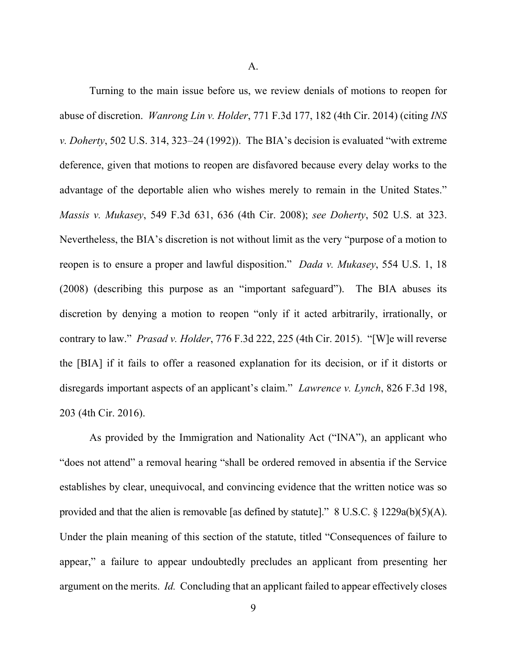A.

Turning to the main issue before us, we review denials of motions to reopen for abuse of discretion. *Wanrong Lin v. Holder*, 771 F.3d 177, 182 (4th Cir. 2014) (citing *INS v. Doherty*, 502 U.S. 314, 323–24 (1992)). The BIA's decision is evaluated "with extreme deference, given that motions to reopen are disfavored because every delay works to the advantage of the deportable alien who wishes merely to remain in the United States." *Massis v. Mukasey*, 549 F.3d 631, 636 (4th Cir. 2008); *see Doherty*, 502 U.S. at 323. Nevertheless, the BIA's discretion is not without limit as the very "purpose of a motion to reopen is to ensure a proper and lawful disposition." *Dada v. Mukasey*, 554 U.S. 1, 18 (2008) (describing this purpose as an "important safeguard"). The BIA abuses its discretion by denying a motion to reopen "only if it acted arbitrarily, irrationally, or contrary to law." *Prasad v. Holder*, 776 F.3d 222, 225 (4th Cir. 2015). "[W]e will reverse the [BIA] if it fails to offer a reasoned explanation for its decision, or if it distorts or disregards important aspects of an applicant's claim." *Lawrence v. Lynch*, 826 F.3d 198, 203 (4th Cir. 2016).

As provided by the Immigration and Nationality Act ("INA"), an applicant who "does not attend" a removal hearing "shall be ordered removed in absentia if the Service establishes by clear, unequivocal, and convincing evidence that the written notice was so provided and that the alien is removable [as defined by statute]." 8 U.S.C. § 1229a(b)(5)(A). Under the plain meaning of this section of the statute, titled "Consequences of failure to appear," a failure to appear undoubtedly precludes an applicant from presenting her argument on the merits. *Id.* Concluding that an applicant failed to appear effectively closes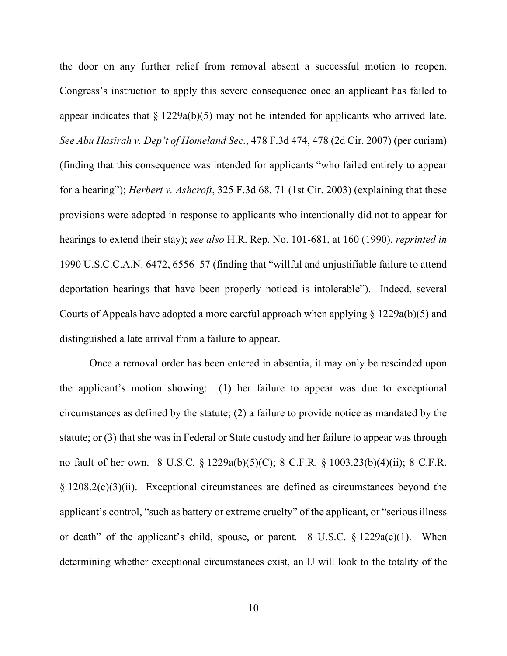the door on any further relief from removal absent a successful motion to reopen. Congress's instruction to apply this severe consequence once an applicant has failed to appear indicates that  $\S 1229a(b)(5)$  may not be intended for applicants who arrived late. *See Abu Hasirah v. Dep't of Homeland Sec.*, 478 F.3d 474, 478 (2d Cir. 2007) (per curiam) (finding that this consequence was intended for applicants "who failed entirely to appear for a hearing"); *Herbert v. Ashcroft*, 325 F.3d 68, 71 (1st Cir. 2003) (explaining that these provisions were adopted in response to applicants who intentionally did not to appear for hearings to extend their stay); *see also* H.R. Rep. No. 101-681, at 160 (1990), *reprinted in* 1990 U.S.C.C.A.N. 6472, 6556–57 (finding that "willful and unjustifiable failure to attend deportation hearings that have been properly noticed is intolerable"). Indeed, several Courts of Appeals have adopted a more careful approach when applying § 1229a(b)(5) and distinguished a late arrival from a failure to appear.

Once a removal order has been entered in absentia, it may only be rescinded upon the applicant's motion showing: (1) her failure to appear was due to exceptional circumstances as defined by the statute; (2) a failure to provide notice as mandated by the statute; or (3) that she was in Federal or State custody and her failure to appear was through no fault of her own. 8 U.S.C. § 1229a(b)(5)(C); 8 C.F.R. § 1003.23(b)(4)(ii); 8 C.F.R. § 1208.2(c)(3)(ii). Exceptional circumstances are defined as circumstances beyond the applicant's control, "such as battery or extreme cruelty" of the applicant, or "serious illness or death" of the applicant's child, spouse, or parent.  $8 \text{ U.S.C. } § 1229a(e)(1)$ . When determining whether exceptional circumstances exist, an IJ will look to the totality of the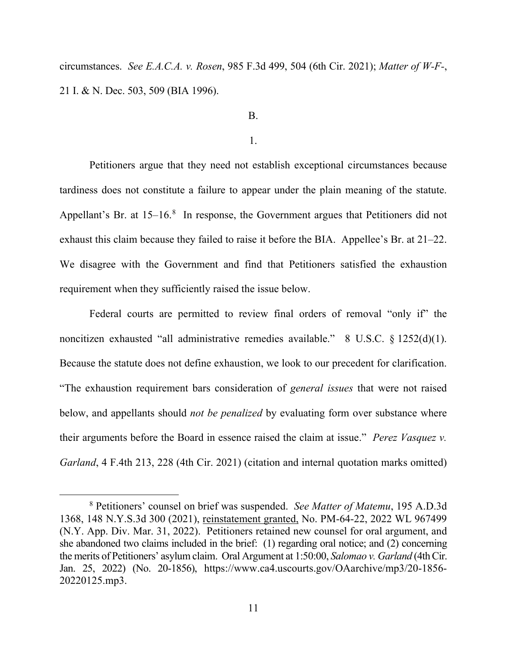circumstances. *See E.A.C.A. v. Rosen*, 985 F.3d 499, 504 (6th Cir. 2021); *Matter of W-F-*, 21 I. & N. Dec. 503, 509 (BIA 1996).

## B.

1.

Petitioners argue that they need not establish exceptional circumstances because tardiness does not constitute a failure to appear under the plain meaning of the statute. Appellant's Br. at  $15-16$ .<sup>[8](#page-10-0)</sup> In response, the Government argues that Petitioners did not exhaust this claim because they failed to raise it before the BIA. Appellee's Br. at 21–22. We disagree with the Government and find that Petitioners satisfied the exhaustion requirement when they sufficiently raised the issue below.

Federal courts are permitted to review final orders of removal "only if" the noncitizen exhausted "all administrative remedies available." 8 U.S.C. § 1252(d)(1). Because the statute does not define exhaustion, we look to our precedent for clarification. "The exhaustion requirement bars consideration of *general issues* that were not raised below, and appellants should *not be penalized* by evaluating form over substance where their arguments before the Board in essence raised the claim at issue." *Perez Vasquez v. Garland*, 4 F.4th 213, 228 (4th Cir. 2021) (citation and internal quotation marks omitted)

<span id="page-10-0"></span><sup>8</sup> Petitioners' counsel on brief was suspended. *See Matter of Matemu*, 195 A.D.3d 1368, 148 N.Y.S.3d 300 (2021), reinstatement granted, No. PM-64-22, 2022 WL 967499 (N.Y. App. Div. Mar. 31, 2022). Petitioners retained new counsel for oral argument, and she abandoned two claims included in the brief: (1) regarding oral notice; and (2) concerning the merits of Petitioners' asylum claim. Oral Argument at 1:50:00, *Salomao v. Garland* (4th Cir. Jan. 25, 2022) (No. 20-1856), https://www.ca4.uscourts.gov/OAarchive/mp3/20-1856- 20220125.mp3.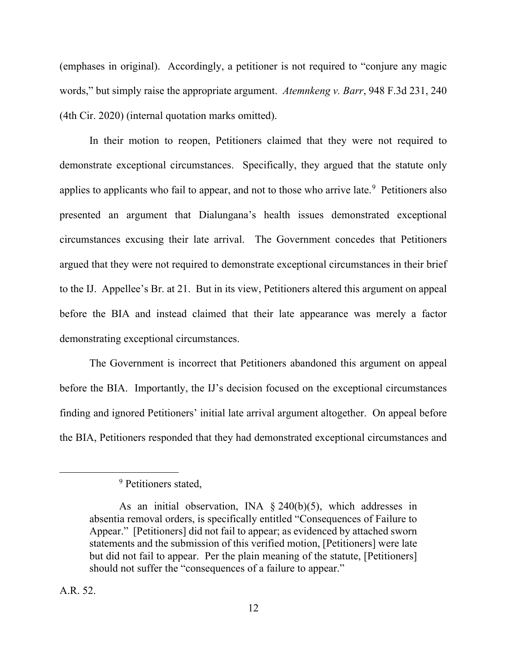(emphases in original). Accordingly, a petitioner is not required to "conjure any magic words," but simply raise the appropriate argument. *Atemnkeng v. Barr*, 948 F.3d 231, 240 (4th Cir. 2020) (internal quotation marks omitted).

In their motion to reopen, Petitioners claimed that they were not required to demonstrate exceptional circumstances. Specifically, they argued that the statute only applies to applicants who fail to appear, and not to those who arrive late.<sup>[9](#page-11-0)</sup> Petitioners also presented an argument that Dialungana's health issues demonstrated exceptional circumstances excusing their late arrival. The Government concedes that Petitioners argued that they were not required to demonstrate exceptional circumstances in their brief to the IJ. Appellee's Br. at 21. But in its view, Petitioners altered this argument on appeal before the BIA and instead claimed that their late appearance was merely a factor demonstrating exceptional circumstances.

The Government is incorrect that Petitioners abandoned this argument on appeal before the BIA. Importantly, the IJ's decision focused on the exceptional circumstances finding and ignored Petitioners' initial late arrival argument altogether. On appeal before the BIA, Petitioners responded that they had demonstrated exceptional circumstances and

<sup>&</sup>lt;sup>9</sup> Petitioners stated,

<span id="page-11-0"></span>As an initial observation, INA  $\S$  240(b)(5), which addresses in absentia removal orders, is specifically entitled "Consequences of Failure to Appear." [Petitioners] did not fail to appear; as evidenced by attached sworn statements and the submission of this verified motion, [Petitioners] were late but did not fail to appear. Per the plain meaning of the statute, [Petitioners] should not suffer the "consequences of a failure to appear."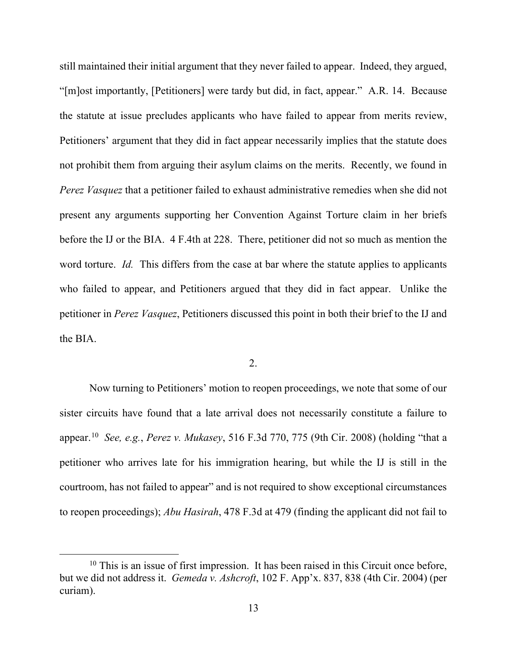still maintained their initial argument that they never failed to appear. Indeed, they argued, "[m]ost importantly, [Petitioners] were tardy but did, in fact, appear." A.R. 14. Because the statute at issue precludes applicants who have failed to appear from merits review, Petitioners' argument that they did in fact appear necessarily implies that the statute does not prohibit them from arguing their asylum claims on the merits. Recently, we found in *Perez Vasquez* that a petitioner failed to exhaust administrative remedies when she did not present any arguments supporting her Convention Against Torture claim in her briefs before the IJ or the BIA. 4 F.4th at 228. There, petitioner did not so much as mention the word torture. *Id.* This differs from the case at bar where the statute applies to applicants who failed to appear, and Petitioners argued that they did in fact appear. Unlike the petitioner in *Perez Vasquez*, Petitioners discussed this point in both their brief to the IJ and the BIA.

#### 2.

Now turning to Petitioners' motion to reopen proceedings, we note that some of our sister circuits have found that a late arrival does not necessarily constitute a failure to appear.[10](#page-12-0) *See, e.g.*, *Perez v. Mukasey*, 516 F.3d 770, 775 (9th Cir. 2008) (holding "that a petitioner who arrives late for his immigration hearing, but while the IJ is still in the courtroom, has not failed to appear" and is not required to show exceptional circumstances to reopen proceedings); *Abu Hasirah*, 478 F.3d at 479 (finding the applicant did not fail to

<span id="page-12-0"></span> $10$  This is an issue of first impression. It has been raised in this Circuit once before, but we did not address it. *Gemeda v. Ashcroft*, 102 F. App'x. 837, 838 (4th Cir. 2004) (per curiam).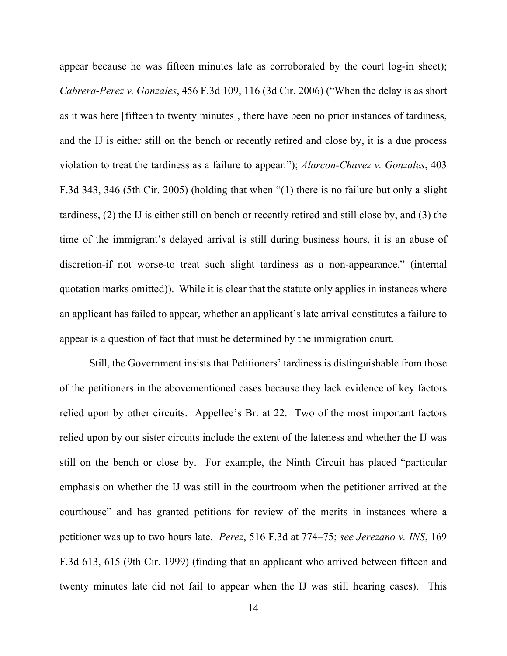appear because he was fifteen minutes late as corroborated by the court log-in sheet); *Cabrera-Perez v. Gonzales*, 456 F.3d 109, 116 (3d Cir. 2006) ("When the delay is as short as it was here [fifteen to twenty minutes], there have been no prior instances of tardiness, and the IJ is either still on the bench or recently retired and close by, it is a due process violation to treat the tardiness as a failure to appear*.*"); *Alarcon-Chavez v. Gonzales*, 403 F.3d 343, 346 (5th Cir. 2005) (holding that when "(1) there is no failure but only a slight tardiness, (2) the IJ is either still on bench or recently retired and still close by, and (3) the time of the immigrant's delayed arrival is still during business hours, it is an abuse of discretion-if not worse-to treat such slight tardiness as a non-appearance." (internal quotation marks omitted)). While it is clear that the statute only applies in instances where an applicant has failed to appear, whether an applicant's late arrival constitutes a failure to appear is a question of fact that must be determined by the immigration court.

Still, the Government insists that Petitioners' tardiness is distinguishable from those of the petitioners in the abovementioned cases because they lack evidence of key factors relied upon by other circuits. Appellee's Br. at 22. Two of the most important factors relied upon by our sister circuits include the extent of the lateness and whether the IJ was still on the bench or close by. For example, the Ninth Circuit has placed "particular emphasis on whether the IJ was still in the courtroom when the petitioner arrived at the courthouse" and has granted petitions for review of the merits in instances where a petitioner was up to two hours late. *Perez*, 516 F.3d at 774–75; *see Jerezano v. INS*, 169 F.3d 613, 615 (9th Cir. 1999) (finding that an applicant who arrived between fifteen and twenty minutes late did not fail to appear when the IJ was still hearing cases). This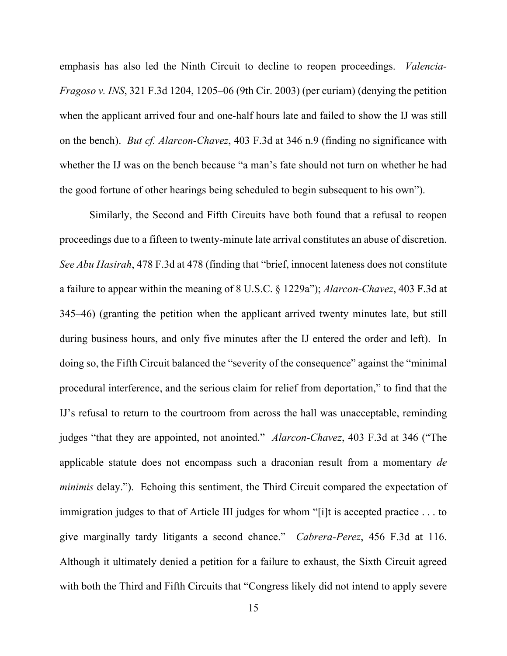emphasis has also led the Ninth Circuit to decline to reopen proceedings. *Valencia-Fragoso v. INS*, 321 F.3d 1204, 1205–06 (9th Cir. 2003) (per curiam) (denying the petition when the applicant arrived four and one-half hours late and failed to show the IJ was still on the bench). *But cf. Alarcon-Chavez*, 403 F.3d at 346 n.9 (finding no significance with whether the IJ was on the bench because "a man's fate should not turn on whether he had the good fortune of other hearings being scheduled to begin subsequent to his own").

Similarly, the Second and Fifth Circuits have both found that a refusal to reopen proceedings due to a fifteen to twenty-minute late arrival constitutes an abuse of discretion. *See Abu Hasirah*, 478 F.3d at 478 (finding that "brief, innocent lateness does not constitute a failure to appear within the meaning of 8 U.S.C. § 1229a"); *Alarcon-Chavez*, 403 F.3d at 345–46) (granting the petition when the applicant arrived twenty minutes late, but still during business hours, and only five minutes after the IJ entered the order and left). In doing so, the Fifth Circuit balanced the "severity of the consequence" against the "minimal procedural interference, and the serious claim for relief from deportation," to find that the IJ's refusal to return to the courtroom from across the hall was unacceptable, reminding judges "that they are appointed, not anointed." *Alarcon-Chavez*, 403 F.3d at 346 ("The applicable statute does not encompass such a draconian result from a momentary *de minimis* delay."). Echoing this sentiment, the Third Circuit compared the expectation of immigration judges to that of Article III judges for whom "[i]t is accepted practice . . . to give marginally tardy litigants a second chance." *Cabrera-Perez*, 456 F.3d at 116. Although it ultimately denied a petition for a failure to exhaust, the Sixth Circuit agreed with both the Third and Fifth Circuits that "Congress likely did not intend to apply severe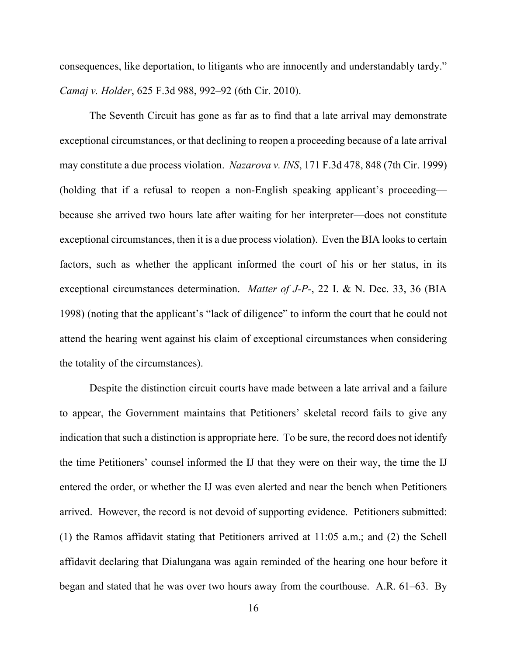consequences, like deportation, to litigants who are innocently and understandably tardy." *Camaj v. Holder*, 625 F.3d 988, 992–92 (6th Cir. 2010).

The Seventh Circuit has gone as far as to find that a late arrival may demonstrate exceptional circumstances, or that declining to reopen a proceeding because of a late arrival may constitute a due process violation. *Nazarova v. INS*, 171 F.3d 478, 848 (7th Cir. 1999) (holding that if a refusal to reopen a non-English speaking applicant's proceeding because she arrived two hours late after waiting for her interpreter—does not constitute exceptional circumstances, then it is a due process violation). Even the BIA looks to certain factors, such as whether the applicant informed the court of his or her status, in its exceptional circumstances determination. *Matter of J-P-*, 22 I. & N. Dec. 33, 36 (BIA 1998) (noting that the applicant's "lack of diligence" to inform the court that he could not attend the hearing went against his claim of exceptional circumstances when considering the totality of the circumstances).

Despite the distinction circuit courts have made between a late arrival and a failure to appear, the Government maintains that Petitioners' skeletal record fails to give any indication that such a distinction is appropriate here. To be sure, the record does not identify the time Petitioners' counsel informed the IJ that they were on their way, the time the IJ entered the order, or whether the IJ was even alerted and near the bench when Petitioners arrived. However, the record is not devoid of supporting evidence. Petitioners submitted: (1) the Ramos affidavit stating that Petitioners arrived at 11:05 a.m.; and (2) the Schell affidavit declaring that Dialungana was again reminded of the hearing one hour before it began and stated that he was over two hours away from the courthouse. A.R. 61–63. By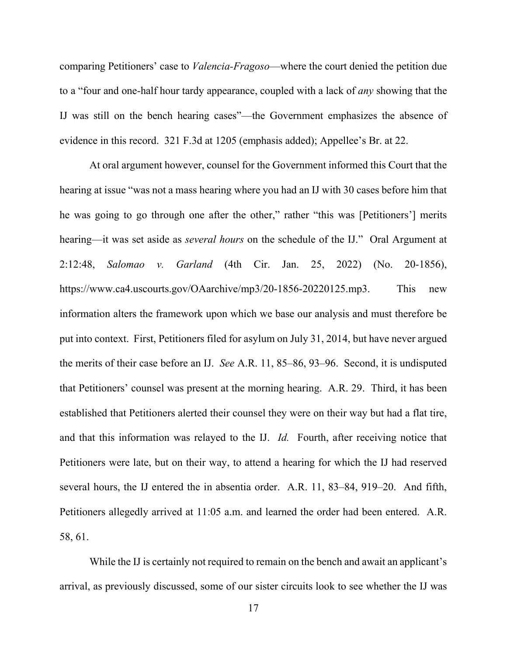comparing Petitioners' case to *Valencia-Fragoso*—where the court denied the petition due to a "four and one-half hour tardy appearance, coupled with a lack of *any* showing that the IJ was still on the bench hearing cases"—the Government emphasizes the absence of evidence in this record. 321 F.3d at 1205 (emphasis added); Appellee's Br. at 22.

At oral argument however, counsel for the Government informed this Court that the hearing at issue "was not a mass hearing where you had an IJ with 30 cases before him that he was going to go through one after the other," rather "this was [Petitioners'] merits hearing—it was set aside as *several hours* on the schedule of the IJ." Oral Argument at 2:12:48, *Salomao v. Garland* (4th Cir. Jan. 25, 2022) (No. 20-1856), https://www.ca4.uscourts.gov/OAarchive/mp3/20-1856-20220125.mp3. This new information alters the framework upon which we base our analysis and must therefore be put into context. First, Petitioners filed for asylum on July 31, 2014, but have never argued the merits of their case before an IJ. *See* A.R. 11, 85–86, 93–96. Second, it is undisputed that Petitioners' counsel was present at the morning hearing. A.R. 29. Third, it has been established that Petitioners alerted their counsel they were on their way but had a flat tire, and that this information was relayed to the IJ. *Id.* Fourth, after receiving notice that Petitioners were late, but on their way, to attend a hearing for which the IJ had reserved several hours, the IJ entered the in absentia order. A.R. 11, 83–84, 919–20. And fifth, Petitioners allegedly arrived at 11:05 a.m. and learned the order had been entered. A.R. 58, 61.

While the IJ is certainly not required to remain on the bench and await an applicant's arrival, as previously discussed, some of our sister circuits look to see whether the IJ was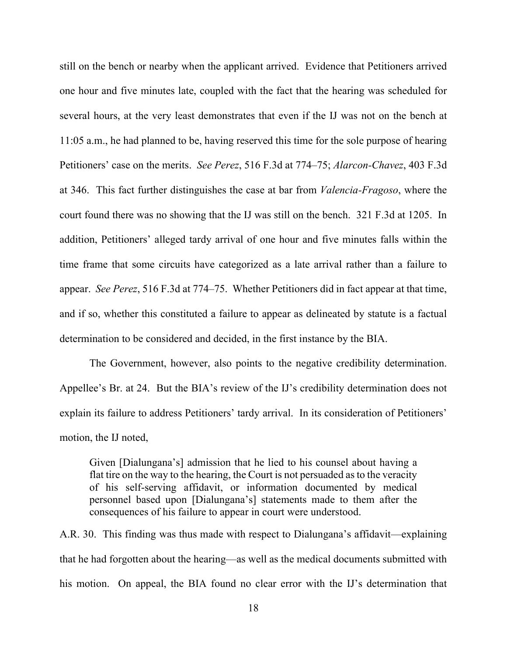still on the bench or nearby when the applicant arrived. Evidence that Petitioners arrived one hour and five minutes late, coupled with the fact that the hearing was scheduled for several hours, at the very least demonstrates that even if the IJ was not on the bench at 11:05 a.m., he had planned to be, having reserved this time for the sole purpose of hearing Petitioners' case on the merits. *See Perez*, 516 F.3d at 774–75; *Alarcon-Chavez*, 403 F.3d at 346. This fact further distinguishes the case at bar from *Valencia-Fragoso*, where the court found there was no showing that the IJ was still on the bench. 321 F.3d at 1205. In addition, Petitioners' alleged tardy arrival of one hour and five minutes falls within the time frame that some circuits have categorized as a late arrival rather than a failure to appear. *See Perez*, 516 F.3d at 774–75. Whether Petitioners did in fact appear at that time, and if so, whether this constituted a failure to appear as delineated by statute is a factual determination to be considered and decided, in the first instance by the BIA.

The Government, however, also points to the negative credibility determination. Appellee's Br. at 24. But the BIA's review of the IJ's credibility determination does not explain its failure to address Petitioners' tardy arrival. In its consideration of Petitioners' motion, the IJ noted,

Given [Dialungana's] admission that he lied to his counsel about having a flat tire on the way to the hearing, the Court is not persuaded as to the veracity of his self-serving affidavit, or information documented by medical personnel based upon [Dialungana's] statements made to them after the consequences of his failure to appear in court were understood.

A.R. 30. This finding was thus made with respect to Dialungana's affidavit—explaining that he had forgotten about the hearing—as well as the medical documents submitted with his motion. On appeal, the BIA found no clear error with the IJ's determination that

18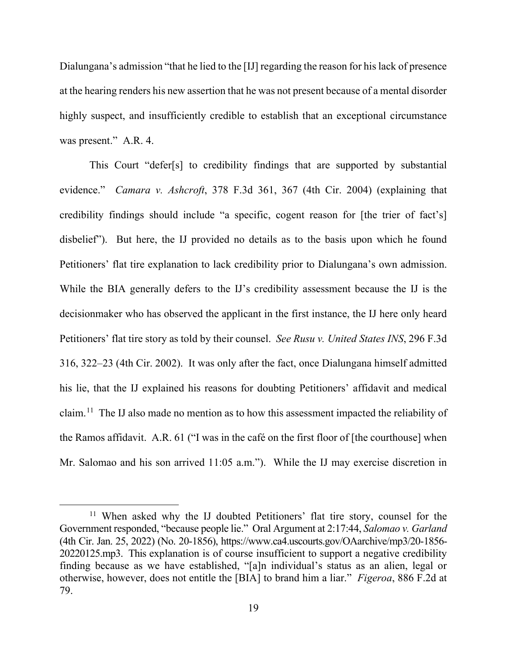Dialungana's admission "that he lied to the [IJ] regarding the reason for his lack of presence at the hearing renders his new assertion that he was not present because of a mental disorder highly suspect, and insufficiently credible to establish that an exceptional circumstance was present." A.R. 4.

This Court "defer[s] to credibility findings that are supported by substantial evidence." *Camara v. Ashcroft*, 378 F.3d 361, 367 (4th Cir. 2004) (explaining that credibility findings should include "a specific, cogent reason for [the trier of fact's] disbelief"). But here, the IJ provided no details as to the basis upon which he found Petitioners' flat tire explanation to lack credibility prior to Dialungana's own admission. While the BIA generally defers to the IJ's credibility assessment because the IJ is the decisionmaker who has observed the applicant in the first instance, the IJ here only heard Petitioners' flat tire story as told by their counsel. *See Rusu v. United States INS*, 296 F.3d 316, 322–23 (4th Cir. 2002). It was only after the fact, once Dialungana himself admitted his lie, that the IJ explained his reasons for doubting Petitioners' affidavit and medical claim.<sup>[11](#page-18-0)</sup> The IJ also made no mention as to how this assessment impacted the reliability of the Ramos affidavit. A.R. 61 ("I was in the café on the first floor of [the courthouse] when Mr. Salomao and his son arrived 11:05 a.m."). While the IJ may exercise discretion in

<span id="page-18-0"></span><sup>&</sup>lt;sup>11</sup> When asked why the IJ doubted Petitioners' flat tire story, counsel for the Government responded, "because people lie." Oral Argument at 2:17:44, *Salomao v. Garland* (4th Cir. Jan. 25, 2022) (No. 20-1856), https://www.ca4.uscourts.gov/OAarchive/mp3/20-1856- 20220125.mp3. This explanation is of course insufficient to support a negative credibility finding because as we have established, "[a]n individual's status as an alien, legal or otherwise, however, does not entitle the [BIA] to brand him a liar." *Figeroa*, 886 F.2d at 79.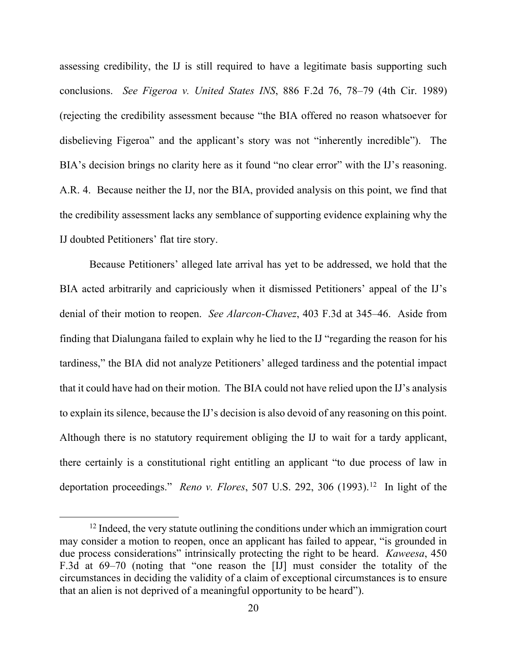assessing credibility, the IJ is still required to have a legitimate basis supporting such conclusions. *See Figeroa v. United States INS*, 886 F.2d 76, 78–79 (4th Cir. 1989) (rejecting the credibility assessment because "the BIA offered no reason whatsoever for disbelieving Figeroa" and the applicant's story was not "inherently incredible"). The BIA's decision brings no clarity here as it found "no clear error" with the IJ's reasoning. A.R. 4. Because neither the IJ, nor the BIA, provided analysis on this point, we find that the credibility assessment lacks any semblance of supporting evidence explaining why the IJ doubted Petitioners' flat tire story.

Because Petitioners' alleged late arrival has yet to be addressed, we hold that the BIA acted arbitrarily and capriciously when it dismissed Petitioners' appeal of the IJ's denial of their motion to reopen. *See Alarcon-Chavez*, 403 F.3d at 345–46. Aside from finding that Dialungana failed to explain why he lied to the IJ "regarding the reason for his tardiness," the BIA did not analyze Petitioners' alleged tardiness and the potential impact that it could have had on their motion. The BIA could not have relied upon the IJ's analysis to explain its silence, because the IJ's decision is also devoid of any reasoning on this point. Although there is no statutory requirement obliging the IJ to wait for a tardy applicant, there certainly is a constitutional right entitling an applicant "to due process of law in deportation proceedings." *Reno v. Flores*, 507 U.S. 292, 306 (1993).<sup>[12](#page-19-0)</sup> In light of the

<span id="page-19-0"></span> $12$  Indeed, the very statute outlining the conditions under which an immigration court may consider a motion to reopen, once an applicant has failed to appear, "is grounded in due process considerations" intrinsically protecting the right to be heard. *Kaweesa*, 450 F.3d at 69–70 (noting that "one reason the [IJ] must consider the totality of the circumstances in deciding the validity of a claim of exceptional circumstances is to ensure that an alien is not deprived of a meaningful opportunity to be heard").